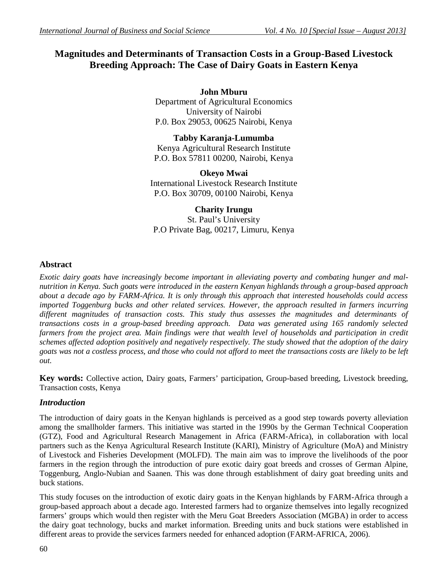# **Magnitudes and Determinants of Transaction Costs in a Group-Based Livestock Breeding Approach: The Case of Dairy Goats in Eastern Kenya**

**John Mburu** Department of Agricultural Economics University of Nairobi P.0. Box 29053, 00625 Nairobi, Kenya

**Tabby Karanja-Lumumba** Kenya Agricultural Research Institute P.O. Box 57811 00200, Nairobi, Kenya

**Okeyo Mwai** International Livestock Research Institute P.O. Box 30709, 00100 Nairobi, Kenya

## **Charity Irungu**

St. Paul's University P.O Private Bag, 00217, Limuru, Kenya

## **Abstract**

*Exotic dairy goats have increasingly become important in alleviating poverty and combating hunger and malnutrition in Kenya. Such goats were introduced in the eastern Kenyan highlands through a group-based approach about a decade ago by FARM-Africa. It is only through this approach that interested households could access imported Toggenburg bucks and other related services. However, the approach resulted in farmers incurring different magnitudes of transaction costs. This study thus assesses the magnitudes and determinants of transactions costs in a group-based breeding approach. Data was generated using 165 randomly selected*  farmers from the project area. Main findings were that wealth level of households and participation in credit *schemes affected adoption positively and negatively respectively. The study showed that the adoption of the dairy goats was not a costless process, and those who could not afford to meet the transactions costs are likely to be left out.* 

**Key words:** Collective action, Dairy goats, Farmers' participation, Group-based breeding, Livestock breeding, Transaction costs, Kenya

## *Introduction*

The introduction of dairy goats in the Kenyan highlands is perceived as a good step towards poverty alleviation among the smallholder farmers. This initiative was started in the 1990s by the German Technical Cooperation (GTZ), Food and Agricultural Research Management in Africa (FARM-Africa), in collaboration with local partners such as the Kenya Agricultural Research Institute (KARI), Ministry of Agriculture (MoA) and Ministry of Livestock and Fisheries Development (MOLFD). The main aim was to improve the livelihoods of the poor farmers in the region through the introduction of pure exotic dairy goat breeds and crosses of German Alpine, Toggenburg, Anglo-Nubian and Saanen. This was done through establishment of dairy goat breeding units and buck stations.

This study focuses on the introduction of exotic dairy goats in the Kenyan highlands by FARM-Africa through a group-based approach about a decade ago. Interested farmers had to organize themselves into legally recognized farmers' groups which would then register with the Meru Goat Breeders Association (MGBA) in order to access the dairy goat technology, bucks and market information. Breeding units and buck stations were established in different areas to provide the services farmers needed for enhanced adoption (FARM-AFRICA, 2006).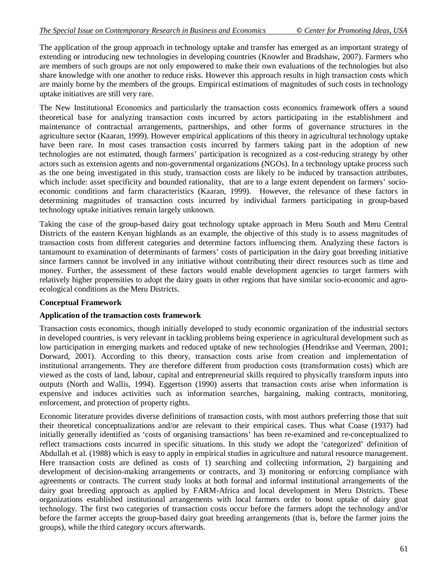The application of the group approach in technology uptake and transfer has emerged as an important strategy of extending or introducing new technologies in developing countries (Knowler and Bradshaw, 2007). Farmers who are members of such groups are not only empowered to make their own evaluations of the technologies but also share knowledge with one another to reduce risks. However this approach results in high transaction costs which are mainly borne by the members of the groups. Empirical estimations of magnitudes of such costs in technology uptake initiatives are still very rare.

The New Institutional Economics and particularly the transaction costs economics framework offers a sound theoretical base for analyzing transaction costs incurred by actors participating in the establishment and maintenance of contractual arrangements, partnerships, and other forms of governance structures in the agriculture sector (Kaaran, 1999). However empirical applications of this theory in agricultural technology uptake have been rare. In most cases transaction costs incurred by farmers taking part in the adoption of new technologies are not estimated, though farmers' participation is recognized as a cost-reducing strategy by other actors such as extension agents and non-governmental organizations (NGOs). In a technology uptake process such as the one being investigated in this study, transaction costs are likely to be induced by transaction attributes, which include: asset specificity and bounded rationality, that are to a large extent dependent on farmers' socioeconomic conditions and farm characteristics (Kaaran, 1999). However, the relevance of these factors in determining magnitudes of transaction costs incurred by individual farmers participating in group-based technology uptake initiatives remain largely unknown.

Taking the case of the group-based dairy goat technology uptake approach in Meru South and Meru Central Districts of the eastern Kenyan highlands as an example, the objective of this study is to assess magnitudes of transaction costs from different categories and determine factors influencing them. Analyzing these factors is tantamount to examination of determinants of farmers' costs of participation in the dairy goat breeding initiative since farmers cannot be involved in any initiative without contributing their direct resources such as time and money. Further, the assessment of these factors would enable development agencies to target farmers with relatively higher propensities to adopt the dairy goats in other regions that have similar socio-economic and agroecological conditions as the Meru Districts.

### **Conceptual Framework**

#### **Application of the transaction costs framework**

Transaction costs economics, though initially developed to study economic organization of the industrial sectors in developed countries, is very relevant in tackling problems being experience in agricultural development such as low participation in emerging markets and reduced uptake of new technologies (Hendrikse and Veerman, 2001; Dorward, 2001). According to this theory, transaction costs arise from creation and implementation of institutional arrangements. They are therefore different from production costs (transformation costs) which are viewed as the costs of land, labour, capital and entrepreneurial skills required to physically transform inputs into outputs (North and Wallis, 1994). Eggertson (1990) asserts that transaction costs arise when information is expensive and induces activities such as information searches, bargaining, making contracts, monitoring, enforcement, and protection of property rights.

Economic literature provides diverse definitions of transaction costs, with most authors preferring those that suit their theoretical conceptualizations and/or are relevant to their empirical cases. Thus what Coase (1937) had initially generally identified as 'costs of organising transactions' has been re-examined and re-conceptualized to reflect transactions costs incurred in specific situations. In this study we adopt the 'categorized' definition of Abdullah et al. (1988) which is easy to apply in empirical studies in agriculture and natural resource management. Here transaction costs are defined as costs of 1) searching and collecting information, 2) bargaining and development of decision-making arrangements or contracts, and 3) monitoring or enforcing compliance with agreements or contracts. The current study looks at both formal and informal institutional arrangements of the dairy goat breeding approach as applied by FARM-Africa and local development in Meru Districts. These organizations established institutional arrangements with local farmers order to boost uptake of dairy goat technology. The first two categories of transaction costs occur before the farmers adopt the technology and/or before the farmer accepts the group-based dairy goat breeding arrangements (that is, before the farmer joins the groups), while the third category occurs afterwards.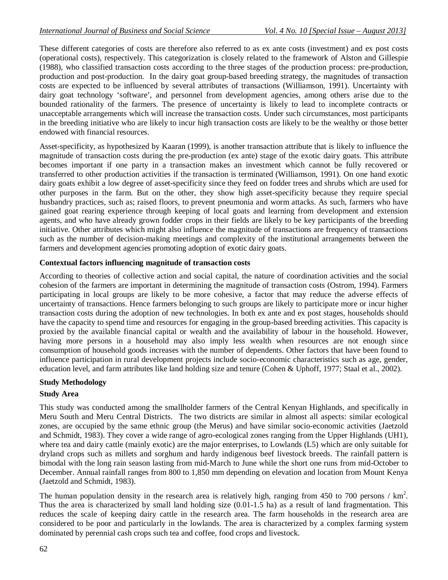These different categories of costs are therefore also referred to as ex ante costs (investment) and ex post costs (operational costs), respectively. This categorization is closely related to the framework of Alston and Gillespie (1988), who classified transaction costs according to the three stages of the production process: pre-production, production and post-production. In the dairy goat group-based breeding strategy, the magnitudes of transaction costs are expected to be influenced by several attributes of transactions (Williamson, 1991). Uncertainty with dairy goat technology 'software', and personnel from development agencies, among others arise due to the bounded rationality of the farmers. The presence of uncertainty is likely to lead to incomplete contracts or unacceptable arrangements which will increase the transaction costs. Under such circumstances, most participants in the breeding initiative who are likely to incur high transaction costs are likely to be the wealthy or those better endowed with financial resources.

Asset-specificity, as hypothesized by Kaaran (1999), is another transaction attribute that is likely to influence the magnitude of transaction costs during the pre-production (ex ante) stage of the exotic dairy goats. This attribute becomes important if one party in a transaction makes an investment which cannot be fully recovered or transferred to other production activities if the transaction is terminated (Williamson, 1991). On one hand exotic dairy goats exhibit a low degree of asset-specificity since they feed on fodder trees and shrubs which are used for other purposes in the farm. But on the other, they show high asset-specificity because they require special husbandry practices, such as; raised floors, to prevent pneumonia and worm attacks. As such, farmers who have gained goat rearing experience through keeping of local goats and learning from development and extension agents, and who have already grown fodder crops in their fields are likely to be key participants of the breeding initiative. Other attributes which might also influence the magnitude of transactions are frequency of transactions such as the number of decision-making meetings and complexity of the institutional arrangements between the farmers and development agencies promoting adoption of exotic dairy goats.

### **Contextual factors influencing magnitude of transaction costs**

According to theories of collective action and social capital, the nature of coordination activities and the social cohesion of the farmers are important in determining the magnitude of transaction costs (Ostrom, 1994). Farmers participating in local groups are likely to be more cohesive, a factor that may reduce the adverse effects of uncertainty of transactions. Hence farmers belonging to such groups are likely to participate more or incur higher transaction costs during the adoption of new technologies. In both ex ante and ex post stages, households should have the capacity to spend time and resources for engaging in the group-based breeding activities. This capacity is proxied by the available financial capital or wealth and the availability of labour in the household. However, having more persons in a household may also imply less wealth when resources are not enough since consumption of household goods increases with the number of dependents. Other factors that have been found to influence participation in rural development projects include socio-economic characteristics such as age, gender, education level, and farm attributes like land holding size and tenure (Cohen & Uphoff, 1977; Staal et al., 2002).

### **Study Methodology**

### **Study Area**

This study was conducted among the smallholder farmers of the Central Kenyan Highlands, and specifically in Meru South and Meru Central Districts. The two districts are similar in almost all aspects: similar ecological zones, are occupied by the same ethnic group (the Merus) and have similar socio-economic activities (Jaetzold and Schmidt, 1983). They cover a wide range of agro-ecological zones ranging from the Upper Highlands (UH1), where tea and dairy cattle (mainly exotic) are the major enterprises, to Lowlands (L5) which are only suitable for dryland crops such as millets and sorghum and hardy indigenous beef livestock breeds. The rainfall pattern is bimodal with the long rain season lasting from mid-March to June while the short one runs from mid-October to December. Annual rainfall ranges from 800 to 1,850 mm depending on elevation and location from Mount Kenya (Jaetzold and Schmidt, 1983).

The human population density in the research area is relatively high, ranging from 450 to 700 persons /  $km<sup>2</sup>$ . Thus the area is characterized by small land holding size (0.01-1.5 ha) as a result of land fragmentation. This reduces the scale of keeping dairy cattle in the research area. The farm households in the research area are considered to be poor and particularly in the lowlands. The area is characterized by a complex farming system dominated by perennial cash crops such tea and coffee, food crops and livestock.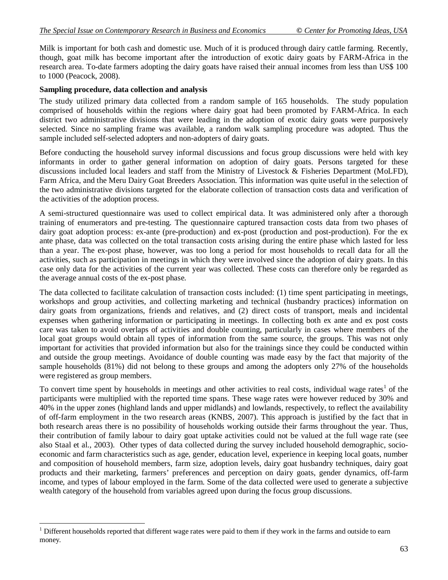Milk is important for both cash and domestic use. Much of it is produced through dairy cattle farming. Recently, though, goat milk has become important after the introduction of exotic dairy goats by FARM-Africa in the research area. To-date farmers adopting the dairy goats have raised their annual incomes from less than US\$ 100 to 1000 (Peacock, 2008).

#### **Sampling procedure, data collection and analysis**

 $\overline{a}$ 

The study utilized primary data collected from a random sample of 165 households. The study population comprised of households within the regions where dairy goat had been promoted by FARM-Africa. In each district two administrative divisions that were leading in the adoption of exotic dairy goats were purposively selected. Since no sampling frame was available, a random walk sampling procedure was adopted. Thus the sample included self-selected adopters and non-adopters of dairy goats.

Before conducting the household survey informal discussions and focus group discussions were held with key informants in order to gather general information on adoption of dairy goats. Persons targeted for these discussions included local leaders and staff from the Ministry of Livestock & Fisheries Department (MoLFD), Farm Africa, and the Meru Dairy Goat Breeders Association. This information was quite useful in the selection of the two administrative divisions targeted for the elaborate collection of transaction costs data and verification of the activities of the adoption process.

A semi-structured questionnaire was used to collect empirical data. It was administered only after a thorough training of enumerators and pre-testing. The questionnaire captured transaction costs data from two phases of dairy goat adoption process: ex-ante (pre-production) and ex-post (production and post-production). For the ex ante phase, data was collected on the total transaction costs arising during the entire phase which lasted for less than a year. The ex-post phase, however, was too long a period for most households to recall data for all the activities, such as participation in meetings in which they were involved since the adoption of dairy goats. In this case only data for the activities of the current year was collected. These costs can therefore only be regarded as the average annual costs of the ex-post phase.

The data collected to facilitate calculation of transaction costs included: (1) time spent participating in meetings, workshops and group activities, and collecting marketing and technical (husbandry practices) information on dairy goats from organizations, friends and relatives, and (2) direct costs of transport, meals and incidental expenses when gathering information or participating in meetings. In collecting both ex ante and ex post costs care was taken to avoid overlaps of activities and double counting, particularly in cases where members of the local goat groups would obtain all types of information from the same source, the groups. This was not only important for activities that provided information but also for the trainings since they could be conducted within and outside the group meetings. Avoidance of double counting was made easy by the fact that majority of the sample households (81%) did not belong to these groups and among the adopters only 27% of the households were registered as group members.

To convert time spent by households in meetings and other activities to real costs, individual wage rates<sup>1</sup> of the participants were multiplied with the reported time spans. These wage rates were however reduced by 30% and 40% in the upper zones (highland lands and upper midlands) and lowlands, respectively, to reflect the availability of off-farm employment in the two research areas (KNBS, 2007). This approach is justified by the fact that in both research areas there is no possibility of households working outside their farms throughout the year. Thus, their contribution of family labour to dairy goat uptake activities could not be valued at the full wage rate (see also Staal et al., 2003). Other types of data collected during the survey included household demographic, socioeconomic and farm characteristics such as age, gender, education level, experience in keeping local goats, number and composition of household members, farm size, adoption levels, dairy goat husbandry techniques, dairy goat products and their marketing, farmers' preferences and perception on dairy goats, gender dynamics, off-farm income, and types of labour employed in the farm. Some of the data collected were used to generate a subjective wealth category of the household from variables agreed upon during the focus group discussions.

 $1$  Different households reported that different wage rates were paid to them if they work in the farms and outside to earn money.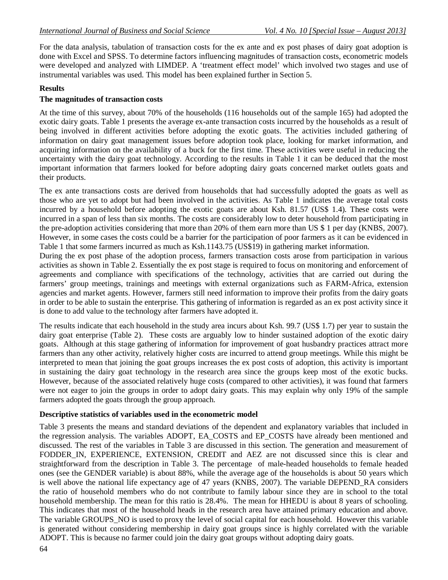For the data analysis, tabulation of transaction costs for the ex ante and ex post phases of dairy goat adoption is done with Excel and SPSS. To determine factors influencing magnitudes of transaction costs, econometric models were developed and analyzed with LIMDEP. A 'treatment effect model' which involved two stages and use of instrumental variables was used. This model has been explained further in Section 5.

#### **Results**

#### **The magnitudes of transaction costs**

At the time of this survey, about 70% of the households (116 households out of the sample 165) had adopted the exotic dairy goats. Table 1 presents the average ex-ante transaction costs incurred by the households as a result of being involved in different activities before adopting the exotic goats. The activities included gathering of information on dairy goat management issues before adoption took place, looking for market information, and acquiring information on the availability of a buck for the first time. These activities were useful in reducing the uncertainty with the dairy goat technology. According to the results in Table 1 it can be deduced that the most important information that farmers looked for before adopting dairy goats concerned market outlets goats and their products.

The ex ante transactions costs are derived from households that had successfully adopted the goats as well as those who are yet to adopt but had been involved in the activities. As Table 1 indicates the average total costs incurred by a household before adopting the exotic goats are about Ksh. 81.57 (US\$ 1.4). These costs were incurred in a span of less than six months. The costs are considerably low to deter household from participating in the pre-adoption activities considering that more than 20% of them earn more than US \$ 1 per day (KNBS, 2007). However, in some cases the costs could be a barrier for the participation of poor farmers as it can be evidenced in Table 1 that some farmers incurred as much as Ksh.1143.75 (US\$19) in gathering market information.

During the ex post phase of the adoption process, farmers transaction costs arose from participation in various activities as shown in Table 2. Essentially the ex post stage is required to focus on monitoring and enforcement of agreements and compliance with specifications of the technology, activities that are carried out during the farmers' group meetings, trainings and meetings with external organizations such as FARM-Africa, extension agencies and market agents. However, farmers still need information to improve their profits from the dairy goats in order to be able to sustain the enterprise. This gathering of information is regarded as an ex post activity since it is done to add value to the technology after farmers have adopted it.

The results indicate that each household in the study area incurs about Ksh. 99.7 (US\$ 1.7) per year to sustain the dairy goat enterprise (Table 2). These costs are arguably low to hinder sustained adoption of the exotic dairy goats. Although at this stage gathering of information for improvement of goat husbandry practices attract more farmers than any other activity, relatively higher costs are incurred to attend group meetings. While this might be interpreted to mean that joining the goat groups increases the ex post costs of adoption, this activity is important in sustaining the dairy goat technology in the research area since the groups keep most of the exotic bucks. However, because of the associated relatively huge costs (compared to other activities), it was found that farmers were not eager to join the groups in order to adopt dairy goats. This may explain why only 19% of the sample farmers adopted the goats through the group approach.

#### **Descriptive statistics of variables used in the econometric model**

Table 3 presents the means and standard deviations of the dependent and explanatory variables that included in the regression analysis. The variables ADOPT, EA\_COSTS and EP\_COSTS have already been mentioned and discussed. The rest of the variables in Table 3 are discussed in this section. The generation and measurement of FODDER\_IN, EXPERIENCE, EXTENSION, CREDIT and AEZ are not discussed since this is clear and straightforward from the description in Table 3. The percentage of male-headed households to female headed ones (see the GENDER variable) is about 88%, while the average age of the households is about 50 years which is well above the national life expectancy age of 47 years (KNBS, 2007). The variable DEPEND\_RA considers the ratio of household members who do not contribute to family labour since they are in school to the total household membership. The mean for this ratio is 28.4%. The mean for HHEDU is about 8 years of schooling. This indicates that most of the household heads in the research area have attained primary education and above. The variable GROUPS\_NO is used to proxy the level of social capital for each household. However this variable is generated without considering membership in dairy goat groups since is highly correlated with the variable ADOPT. This is because no farmer could join the dairy goat groups without adopting dairy goats.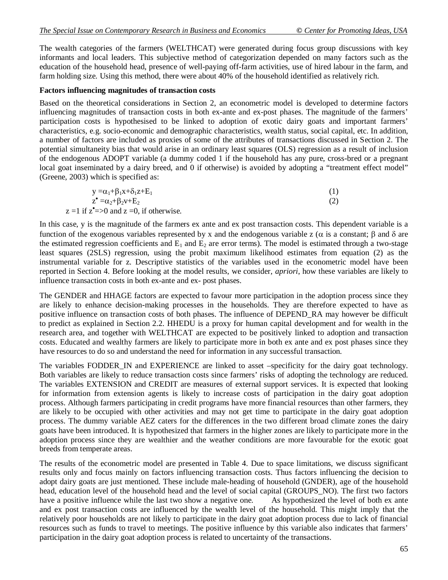The wealth categories of the farmers (WELTHCAT) were generated during focus group discussions with key informants and local leaders. This subjective method of categorization depended on many factors such as the education of the household head, presence of well-paying off-farm activities, use of hired labour in the farm, and farm holding size. Using this method, there were about 40% of the household identified as relatively rich.

#### **Factors influencing magnitudes of transaction costs**

Based on the theoretical considerations in Section 2, an econometric model is developed to determine factors influencing magnitudes of transaction costs in both ex-ante and ex-post phases. The magnitude of the farmers' participation costs is hypothesised to be linked to adoption of exotic dairy goats and important farmers' characteristics, e.g. socio-economic and demographic characteristics, wealth status, social capital, etc. In addition, a number of factors are included as proxies of some of the attributes of transactions discussed in Section 2. The potential simultaneity bias that would arise in an ordinary least squares (OLS) regression as a result of inclusion of the endogenous ADOPT variable (a dummy coded 1 if the household has any pure, cross-bred or a pregnant local goat inseminated by a dairy breed, and 0 if otherwise) is avoided by adopting a "treatment effect model" (Greene, 2003) which is specified as:

| $y = \alpha_1 + \beta_1 x + \delta_1 z + E_1$    |     |
|--------------------------------------------------|-----|
| $z^{\bullet} = \alpha_2 + \beta_2 v + E_2$       | (2) |
| $z = 1$ if $z^2 = 0$ and $z = 0$ , if otherwise. |     |

In this case, y is the magnitude of the farmers ex ante and ex post transaction costs. This dependent variable is a function of the exogenous variables represented by x and the endogenous variable z ( $\alpha$  is a constant;  $\beta$  and  $\delta$  are the estimated regression coefficients and  $E_1$  and  $E_2$  are error terms). The model is estimated through a two-stage least squares (2SLS) regression, using the probit maximum likelihood estimates from equation (2) as the instrumental variable for z. Descriptive statistics of the variables used in the econometric model have been reported in Section 4. Before looking at the model results, we consider, *apriori*, how these variables are likely to influence transaction costs in both ex-ante and ex- post phases.

The GENDER and HHAGE factors are expected to favour more participation in the adoption process since they are likely to enhance decision-making processes in the households. They are therefore expected to have as positive influence on transaction costs of both phases. The influence of DEPEND\_RA may however be difficult to predict as explained in Section 2.2. HHEDU is a proxy for human capital development and for wealth in the research area, and together with WELTHCAT are expected to be positively linked to adoption and transaction costs. Educated and wealthy farmers are likely to participate more in both ex ante and ex post phases since they have resources to do so and understand the need for information in any successful transaction.

The variables FODDER IN and EXPERIENCE are linked to asset –specificity for the dairy goat technology. Both variables are likely to reduce transaction costs since farmers' risks of adopting the technology are reduced. The variables EXTENSION and CREDIT are measures of external support services. It is expected that looking for information from extension agents is likely to increase costs of participation in the dairy goat adoption process. Although farmers participating in credit programs have more financial resources than other farmers, they are likely to be occupied with other activities and may not get time to participate in the dairy goat adoption process. The dummy variable AEZ caters for the differences in the two different broad climate zones the dairy goats have been introduced. It is hypothesized that farmers in the higher zones are likely to participate more in the adoption process since they are wealthier and the weather conditions are more favourable for the exotic goat breeds from temperate areas.

The results of the econometric model are presented in Table 4. Due to space limitations, we discuss significant results only and focus mainly on factors influencing transaction costs. Thus factors influencing the decision to adopt dairy goats are just mentioned. These include male-heading of household (GNDER), age of the household head, education level of the household head and the level of social capital (GROUPS\_NO). The first two factors have a positive influence while the last two show a negative one. As hypothesized the level of both ex ante have a positive influence while the last two show a negative one. and ex post transaction costs are influenced by the wealth level of the household. This might imply that the relatively poor households are not likely to participate in the dairy goat adoption process due to lack of financial resources such as funds to travel to meetings. The positive influence by this variable also indicates that farmers' participation in the dairy goat adoption process is related to uncertainty of the transactions.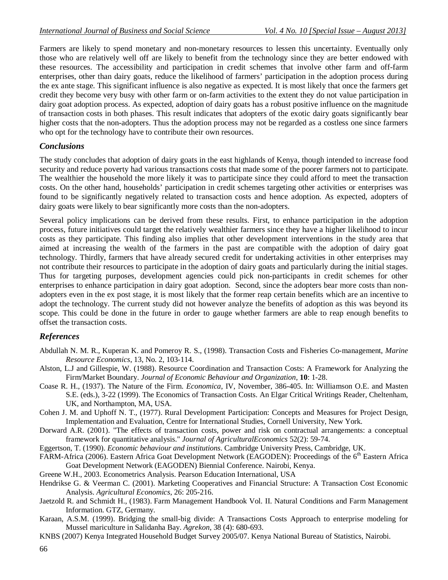Farmers are likely to spend monetary and non-monetary resources to lessen this uncertainty. Eventually only those who are relatively well off are likely to benefit from the technology since they are better endowed with these resources. The accessibility and participation in credit schemes that involve other farm and off-farm enterprises, other than dairy goats, reduce the likelihood of farmers' participation in the adoption process during the ex ante stage. This significant influence is also negative as expected. It is most likely that once the farmers get credit they become very busy with other farm or on-farm activities to the extent they do not value participation in dairy goat adoption process. As expected, adoption of dairy goats has a robust positive influence on the magnitude of transaction costs in both phases. This result indicates that adopters of the exotic dairy goats significantly bear higher costs that the non-adopters. Thus the adoption process may not be regarded as a costless one since farmers who opt for the technology have to contribute their own resources.

### *Conclusions*

The study concludes that adoption of dairy goats in the east highlands of Kenya, though intended to increase food security and reduce poverty had various transactions costs that made some of the poorer farmers not to participate. The wealthier the household the more likely it was to participate since they could afford to meet the transaction costs. On the other hand, households' participation in credit schemes targeting other activities or enterprises was found to be significantly negatively related to transaction costs and hence adoption. As expected, adopters of dairy goats were likely to bear significantly more costs than the non-adopters.

Several policy implications can be derived from these results. First, to enhance participation in the adoption process, future initiatives could target the relatively wealthier farmers since they have a higher likelihood to incur costs as they participate. This finding also implies that other development interventions in the study area that aimed at increasing the wealth of the farmers in the past are compatible with the adoption of dairy goat technology. Thirdly, farmers that have already secured credit for undertaking activities in other enterprises may not contribute their resources to participate in the adoption of dairy goats and particularly during the initial stages. Thus for targeting purposes, development agencies could pick non-participants in credit schemes for other enterprises to enhance participation in dairy goat adoption. Second, since the adopters bear more costs than nonadopters even in the ex post stage, it is most likely that the former reap certain benefits which are an incentive to adopt the technology. The current study did not however analyze the benefits of adoption as this was beyond its scope. This could be done in the future in order to gauge whether farmers are able to reap enough benefits to offset the transaction costs.

### *References*

- Abdullah N. M. R., Kuperan K. and Pomeroy R. S., (1998). Transaction Costs and Fisheries Co-management, *Marine Resource Economics*, 13, No. 2, 103-114.
- Alston, L.J and Gillespie, W. (1988). Resource Coordination and Transaction Costs: A Framework for Analyzing the Firm/Market Boundary. *Journal of Economic Behaviour and Organization*, **10**: 1-28.
- Coase R. H., (1937). The Nature of the Firm. *Economica*, IV, November, 386-405. In: Williamson O.E. and Masten S.E. (eds.), 3-22 (1999). The Economics of Transaction Costs. An Elgar Critical Writings Reader, Cheltenham, UK, and Northampton, MA, USA.
- Cohen J. M. and Uphoff N. T., (1977). Rural Development Participation: Concepts and Measures for Project Design, Implementation and Evaluation, Centre for International Studies, Cornell University, New York.
- Dorward A.R. (2001). "The effects of transaction costs, power and risk on contractual arrangements: a conceptual framework for quantitative analysis." *Journal of AgriculturalEconomics* 52(2): 59-74.
- Eggertson, T. (1990). *Economic behaviour and institutions*. Cambridge University Press, Cambridge, UK.
- FARM-Africa (2006). Eastern Africa Goat Development Network (EAGODEN): Proceedings of the 6<sup>th</sup> Eastern Africa Goat Development Network (EAGODEN) Biennial Conference. Nairobi, Kenya.
- Greene W.H., 2003. Econometrics Analysis. Pearson Education International, USA
- Hendrikse G. & Veerman C. (2001). Marketing Cooperatives and Financial Structure: A Transaction Cost Economic Analysis. *Agricultural Economics*, 26: 205-216.
- Jaetzold R. and Schmidt H., (1983). Farm Management Handbook Vol. II. Natural Conditions and Farm Management Information. GTZ, Germany.
- Karaan, A.S.M. (1999). Bridging the small-big divide: A Transactions Costs Approach to enterprise modeling for Mussel mariculture in Salidanha Bay. *Agrekon*, 38 (4): 680-693.
- KNBS (2007) Kenya Integrated Household Budget Survey 2005/07. Kenya National Bureau of Statistics, Nairobi.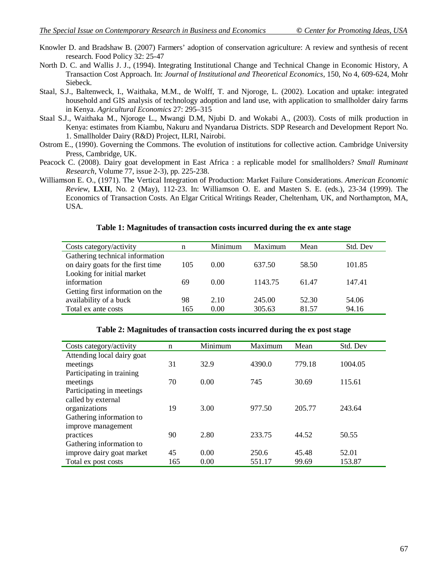- Knowler D. and Bradshaw B. (2007) Farmers' adoption of conservation agriculture: A review and synthesis of recent research. Food Policy 32: 25-47
- North D. C. and Wallis J. J., (1994). Integrating Institutional Change and Technical Change in Economic History, A Transaction Cost Approach. In: *Journal of Institutional and Theoretical Economics*, 150, No 4, 609-624, Mohr Siebeck.
- Staal, S.J., Baltenweck, I., Waithaka, M.M., de Wolff, T. and Njoroge, L. (2002). Location and uptake: integrated household and GIS analysis of technology adoption and land use, with application to smallholder dairy farms in Kenya. *Agricultural Economics* 27: 295–315
- Staal S.J., Waithaka M., Njoroge L., Mwangi D.M, Njubi D. and Wokabi A., (2003). Costs of milk production in Kenya: estimates from Kiambu, Nakuru and Nyandarua Districts. SDP Research and Development Report No. 1. Smallholder Dairy (R&D) Project, ILRI, Nairobi.
- Ostrom E., (1990). Governing the Commons. The evolution of institutions for collective action. Cambridge University Press, Cambridge, UK.
- Peacock C. (2008). Dairy goat development in East Africa : a replicable model for smallholders? *Small Ruminant Research*, Volume 77, issue 2-3), pp. 225-238.
- Williamson E. O., (1971). The Vertical Integration of Production: Market Failure Considerations. *American Economic Review*, **LXII**, No. 2 (May), 112-23. In: Williamson O. E. and Masten S. E. (eds.), 23-34 (1999). The Economics of Transaction Costs. An Elgar Critical Writings Reader, Cheltenham, UK, and Northampton, MA, USA.

#### **Table 1: Magnitudes of transaction costs incurred during the ex ante stage**

| Costs category/activity           | n   | Minimum | Maximum | Mean  | Std. Dev |
|-----------------------------------|-----|---------|---------|-------|----------|
| Gathering technical information   |     |         |         |       |          |
| on dairy goats for the first time | 105 | 0.00    | 637.50  | 58.50 | 101.85   |
| Looking for initial market        |     |         |         |       |          |
| information                       | 69  | 0.00    | 1143.75 | 61.47 | 147.41   |
| Getting first information on the  |     |         |         |       |          |
| availability of a buck            | 98  | 2.10    | 245.00  | 52.30 | 54.06    |
| Total ex ante costs               | 165 | 0.00    | 305.63  | 81.57 | 94.16    |

| Costs category/activity    | $\mathbf n$ | Minimum | Maximum | Mean   | Std. Dev |
|----------------------------|-------------|---------|---------|--------|----------|
| Attending local dairy goat |             |         |         |        |          |
| meetings                   | 31          | 32.9    | 4390.0  | 779.18 | 1004.05  |
| Participating in training  |             |         |         |        |          |
| meetings                   | 70          | 0.00    | 745     | 30.69  | 115.61   |
| Participating in meetings  |             |         |         |        |          |
| called by external         |             |         |         |        |          |
| organizations              | 19          | 3.00    | 977.50  | 205.77 | 243.64   |
| Gathering information to   |             |         |         |        |          |
| improve management         |             |         |         |        |          |
| practices                  | 90          | 2.80    | 233.75  | 44.52  | 50.55    |
| Gathering information to   |             |         |         |        |          |
| improve dairy goat market  | 45          | 0.00    | 250.6   | 45.48  | 52.01    |
| Total ex post costs        | 165         | 0.00    | 551.17  | 99.69  | 153.87   |

#### **Table 2: Magnitudes of transaction costs incurred during the ex post stage**